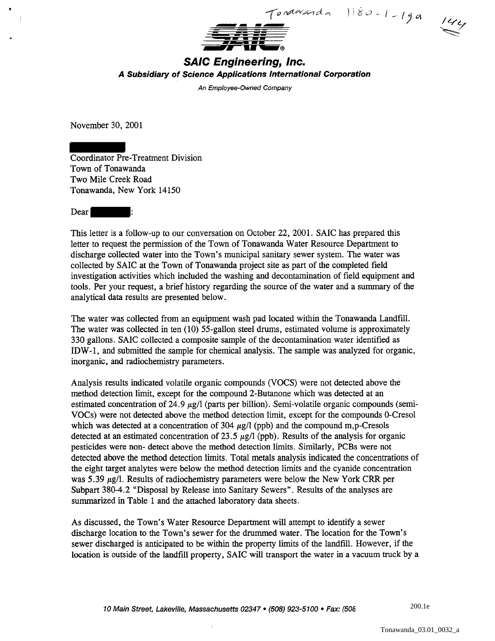

## **SAIC Engineering, Inc. A Subsidiary of Science Applications International Corporation**

An Employee-Owned Company

November 30, 2001

Coordinator Pre-Treatment Division Town of Tonawanda Two Mile Creek Road Tonawanda, New York 14150



This letter is a follow-up to our conversation on October 22, 2001. SAIC has prepared this letter to request the permission of the Town of Tonawanda Water Resource Department to discharge collected water into the Town's municipal sanitary sewer system. The water was collected by SAIC at the Town of Tonawanda project site as part of the completed field investigation activities which included the washing and decontamination of field equipment and tools. Per your request, a brief history regarding the source of the water and a summary of the analytical data results are presented below.

The water was collected from an equipment wash pad located within the Tonawanda Landfill. The water was collected in ten (10) 55-gallon steel drums, estimated volume is approximately 330 gallons. SAIC collected a composite sample of the decontamination water identified as IDW -1, and submitted the sample for chemical analysis. The sample was analyzed for organic, inorganic, and radiochemistry parameters.

Analysis results indicated volatile organic compounds (VOCS) were not detected above the method detection limit, except for the compound 2-Butanone which was detected at an estimated concentration of 24.9  $\mu$ g/l (parts per billion). Semi-volatile organic compounds (semi-VOCs) were not detected above the method detection limit, except for the compounds 0-Cresol which was detected at a concentration of 304  $\mu$ g/l (ppb) and the compound m,p-Cresols detected at an estimated concentration of 23.5  $\mu$ g/l (ppb). Results of the analysis for organic pesticides were non- detect above the method detection limits. Similarly, PCBs were not detected above the method detection limits. Total metals analysis indicated the concentrations of the eight target analytes were below the method detection limits and the cyanide concentration was 5.39  $\mu$ g/l. Results of radiochemistry parameters were below the New York CRR per Subpart 380-4.2 "Disposal by Release into Sanitary Sewers". Results of the analyses are summarized in Table 1 and the attached laboratory data sheets.

As discussed, the Town's Water Resource Department will attempt to identify a sewer discharge location to the Town's sewer for the drummed water. The location for the Town's sewer discharged is anticipated to be within the property limits of the landfill. However, if the location is outside of the landfill property, SAIC will transport the water in a vacuum truck by a

200.1e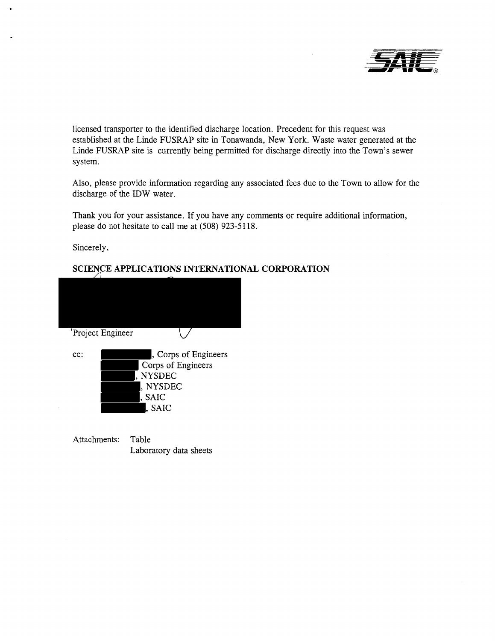

licensed transporter to the identified discharge location. Precedent for this request was established at the Linde FUSRAP site in Tonawanda, New York. Waste water generated at the Linde FUSRAP site is currently being permitted for discharge directly into the Town's sewer system.

Also, please provide information regarding any associated fees due to the Town to allow for the discharge of the IDW water.

Thank you for your assistance. If you have any comments or require additional information, please do not hesitate to call me at (508) 923-5118.

Sincerely,

# **SCIENCE APPLICATIONS INTERNATIONAL CORPORATION**

|        | 'Project Engineer    |
|--------|----------------------|
| $cc$ : | , Corps of Engineers |
|        | Corps of Engineers   |
|        | , NYSDEC             |
|        | , NYSDEC             |
|        | , SAIC               |
|        | , SAIC               |
|        |                      |
|        |                      |
|        |                      |

Attachments: Table Laboratory data sheets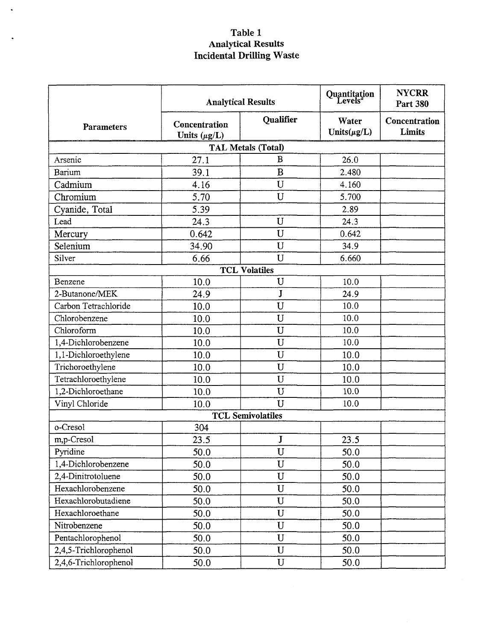## Table 1 Analytical Results Incidental Drilling Waste

|                       |                                    | <b>Analytical Results</b> | Quantitation<br>Levels <sup>a</sup> | <b>NYCRR</b><br><b>Part 380</b> |  |
|-----------------------|------------------------------------|---------------------------|-------------------------------------|---------------------------------|--|
| <b>Parameters</b>     | Concentration<br>Units $(\mu g/L)$ | Qualifier                 | Water<br>Units $(\mu g/L)$          | Concentration<br>Limits         |  |
|                       |                                    | <b>TAL Metals (Total)</b> |                                     |                                 |  |
| Arsenic               | 27.1                               | B                         | 26.0                                |                                 |  |
| Barium                | 39.1                               | B                         | 2.480                               |                                 |  |
| Cadmium               | 4.16                               | U                         | 4.160                               |                                 |  |
| Chromium              | 5.70                               | U                         | 5.700                               |                                 |  |
| Cyanide, Total        | 5.39                               |                           | 2.89                                |                                 |  |
| Lead                  | 24.3                               | U                         | 24.3                                |                                 |  |
| Mercury               | 0.642                              | U                         | 0.642                               |                                 |  |
| Selenium              | 34.90                              | $\mathbf U$               | 34.9                                |                                 |  |
| Silver                | 6.66                               | U                         | 6.660                               |                                 |  |
|                       |                                    | <b>TCL Volatiles</b>      |                                     |                                 |  |
| Benzene               | 10.0                               | $\mathbf U$               | 10.0                                |                                 |  |
| 2-Butanone/MEK        | 24.9                               | J                         | 24.9                                |                                 |  |
| Carbon Tetrachloride  | 10.0                               | $\mathbf U$               | 10.0                                |                                 |  |
| Chlorobenzene         | 10.0                               | $\mathbf U$               | 10.0                                |                                 |  |
| Chloroform            | 10.0                               | $\mathbf{U}$              | 10.0                                |                                 |  |
| 1,4-Dichlorobenzene   | 10.0                               | $\mathbf U$               | 10.0                                |                                 |  |
| 1,1-Dichloroethylene  | 10.0                               | $\mathbf U$               | 10.0                                |                                 |  |
| Trichoroethylene      | 10.0                               | $\mathbf U$               | 10.0                                |                                 |  |
| Tetrachloroethylene   | 10.0                               | U                         | 10.0                                |                                 |  |
| 1,2-Dichloroethane    | 10.0                               | $\mathbf U$               | 10.0                                |                                 |  |
| Vinyl Chloride        | 10.0                               | $\mathbf{U}$              | 10.0                                |                                 |  |
|                       |                                    | <b>TCL Semivolatiles</b>  |                                     |                                 |  |
| o-Cresol              | 304                                |                           |                                     |                                 |  |
| m,p-Cresol            | 23.5                               | J                         | 23.5                                |                                 |  |
| Pyridine              | 50.0                               | $\mathbf U$               | 50.0                                |                                 |  |
| 1,4-Dichlorobenzene   | 50.0                               | $\mathbf U$               | 50.0                                |                                 |  |
| 2,4-Dinitrotoluene    | 50.0                               | $\mathbf U$               | 50.0                                |                                 |  |
| Hexachlorobenzene     | 50.0                               | $\mathbf{U}$              | 50.0                                |                                 |  |
| Hexachlorobutadiene   | 50.0                               | $\mathbf U$               | 50.0                                |                                 |  |
| Hexachloroethane      | 50.0                               | $\mathbf U$               | 50.0                                |                                 |  |
| Nitrobenzene          | 50.0                               | U                         | 50.0                                |                                 |  |
| Pentachlorophenol     | 50.0                               | $\mathbf U$               | 50.0                                |                                 |  |
| 2,4,5-Trichlorophenol | 50.0                               | $\mathbf U$               | 50.0                                |                                 |  |
| 2,4,6-Trichlorophenol | 50.0                               | $\mathbf U$               | 50.0                                |                                 |  |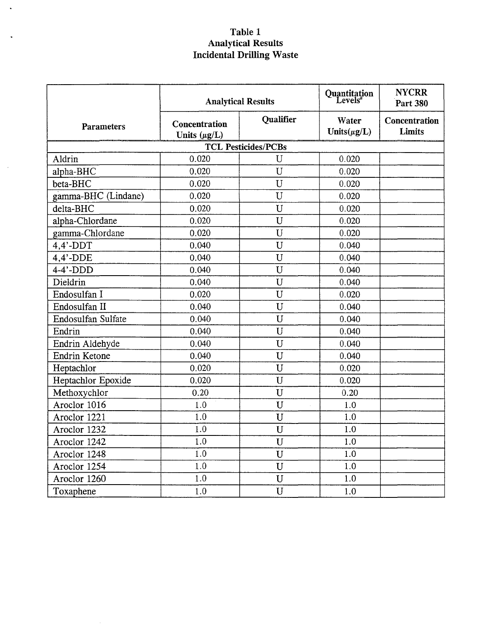## Table 1 Analytical Results Incidental Drilling Waste

 $\ddot{\phantom{a}}$ 

 $\bar{\mathcal{A}}$ 

 $\mathcal{L}_{\mathcal{A}}$ 

|                     |                                    | <b>Analytical Results</b>  | Quantitation<br>Levels <sup>ª</sup> | <b>NYCRR</b><br><b>Part 380</b> |
|---------------------|------------------------------------|----------------------------|-------------------------------------|---------------------------------|
| <b>Parameters</b>   | Concentration<br>Units $(\mu g/L)$ | Qualifier                  | Water<br>Units $(\mu g/L)$          | Concentration<br>Limits         |
|                     |                                    | <b>TCL Pesticides/PCBs</b> |                                     |                                 |
| Aldrin              | 0.020                              | U                          | 0.020                               |                                 |
| alpha-BHC           | 0.020                              | U                          | 0.020                               |                                 |
| beta-BHC            | 0.020                              | U                          | 0.020                               |                                 |
| gamma-BHC (Lindane) | 0.020                              | U                          | 0.020                               |                                 |
| delta-BHC           | 0.020                              | U                          | 0.020                               |                                 |
| alpha-Chlordane     | 0.020                              | U                          | 0.020                               |                                 |
| gamma-Chlordane     | 0.020                              | $\overline{\mathtt{U}}$    | 0.020                               |                                 |
| $4.4'$ -DDT         | 0.040                              | $\mathbf U$                | 0.040                               |                                 |
| $4,4'$ -DDE         | 0.040                              | U                          | 0.040                               |                                 |
| $4-4'$ -DDD         | 0.040                              | U                          | 0.040                               |                                 |
| Dieldrin            | 0.040                              | U                          | 0.040                               |                                 |
| Endosulfan I        | 0.020                              | U                          | 0.020                               |                                 |
| Endosulfan II       | 0.040                              | U                          | 0.040                               |                                 |
| Endosulfan Sulfate  | 0.040                              | $\mathbf{U}$               | 0.040                               |                                 |
| Endrin              | 0.040                              | $\mathbf{U}$               | 0.040                               |                                 |
| Endrin Aldehyde     | 0.040                              | $\mathbf U$                | 0.040                               |                                 |
| Endrin Ketone       | 0.040                              | U                          | 0.040                               |                                 |
| Heptachlor          | 0.020                              | U                          | 0.020                               |                                 |
| Heptachlor Epoxide  | 0.020                              | U                          | 0.020                               |                                 |
| Methoxychlor        | 0.20                               | U                          | 0.20                                |                                 |
| Aroclor 1016        | 1.0                                | $\overline{U}$             | 1.0                                 |                                 |
| Aroclor 1221        | 1.0                                | U                          | 1.0                                 |                                 |
| Aroclor 1232        | 1.0                                | $\mathbf U$                | 1.0                                 |                                 |
| Aroclor 1242        | 1.0                                | U                          | 1.0                                 |                                 |
| Aroclor 1248        | 1.0                                | $\mathbf U$                | 1.0                                 |                                 |
| Aroclor 1254        | 1.0                                | $\mathbf U$                | 1.0                                 |                                 |
| Aroclor 1260        | 1.0                                | $\mathbf U$                | 1.0                                 |                                 |
| Toxaphene           | 1.0                                | U                          | 1.0                                 |                                 |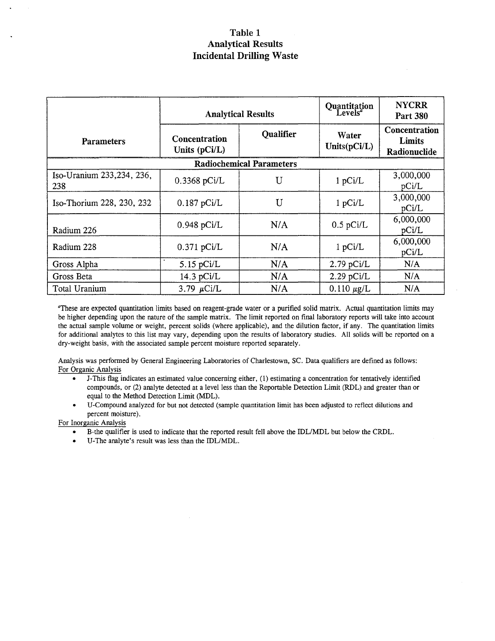### Table 1 Analytical Results Incidental Drilling Waste

|                                  |                                | <b>Analytical Results</b>       | Quantitation<br>Levels   | <b>NYCRR</b><br><b>Part 380</b>         |
|----------------------------------|--------------------------------|---------------------------------|--------------------------|-----------------------------------------|
| <b>Parameters</b>                | Concentration<br>Units (pCi/L) | Qualifier                       | Water<br>Units $(pCi/L)$ | Concentration<br>Limits<br>Radionuclide |
|                                  |                                | <b>Radiochemical Parameters</b> |                          |                                         |
| Iso-Uranium 233,234, 236,<br>238 | $0.3368$ pCi/L                 | U                               | 1 pCi/L                  | 3,000,000<br>pCi/L                      |
| Iso-Thorium 228, 230, 232        | $0.187$ pCi/L                  | U                               | 1 pCi/L                  | 3,000,000<br>pCi/L                      |
| Radium 226                       | $0.948$ pCi/L                  | N/A                             | $0.5$ pCi/L              | 6,000,000<br>pCi/L                      |
| Radium 228                       | $0.371$ pCi/L                  | N/A                             | 1 pCi/L                  | 6,000,000<br>pCi/L                      |
| Gross Alpha                      | $5.15$ pCi/L                   | N/A                             | $2.79$ pCi/L             | N/A                                     |
| Gross Beta                       | 14.3 $pCi/L$                   | N/A                             | $2.29$ pCi/L             | N/A                                     |
| Total Uranium                    | 3.79 $\mu$ Ci/L                | N/A                             | $0.110 \mu g/L$          | N/A                                     |

"These are expected quantitation limits based on reagent-grade water or a purified solid matrix. Actual quantitation limits may be higher depending upon the nature of the sample matrix. The limit reported on final laboratory reports will take into account the actual sample volume or weight, percent solids (where applicable), and the dilution factor, if any. The quantitation limits for additional analytes to this list may vary, depending upon the results of laboratory studies. All solids will be reported on a dry-weight basis, with the associated sample percent moisture reported separately.

Analysis was performed by General Engineering Laboratories of Charlestown, SC. Data qualifiers are defined as follows: For Organic Analysis

- J-This flag indicates an estimated value concerning either, (1) estimating a concentration for tentatively identified compounds, or (2) analyte detected at a level less than the Reportable Detection Limit (RDL) and greater than or equal to the Method Detection Limit (MDL).
- U-Compound analyzed for but not detected (sample quantitation limit has been adjusted to reflect dilutions and percent moisture).

For Inorganic Analysis

- B-the qualifier is used to indicate that the reported result fell above the IDLIMDL but below the CRDL.
- U-The analyte's result was less than the IDL/MDL.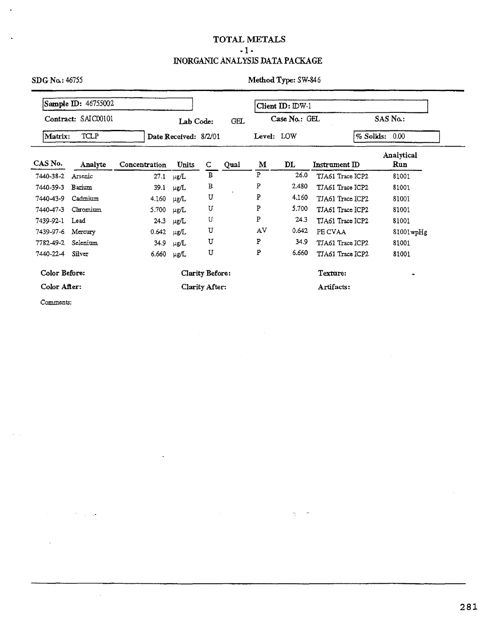### TOTAL METALS

### - 1- INORGANICANALYSIS DATA PACKAGE

|                  | Sample ID: 46755002 |               |                       |                 |            |            | Client ID: IDW-1 |                  |                    |                   |
|------------------|---------------------|---------------|-----------------------|-----------------|------------|------------|------------------|------------------|--------------------|-------------------|
|                  | Contract: SAIC00101 |               | Lab Code:             |                 | <b>GEL</b> |            | Case No.: GEL    |                  |                    | SAS No.:          |
| Matrix:          | TCLP                |               | Date Received: 8/2/01 |                 |            | Level: LOW |                  |                  | $%$ Solids: $0.00$ |                   |
| CAS No.          | Analyte             | Concentration | <b>Units</b>          | $\mathbf C$     | Qual       | M          | DL               | Instrument ID    |                    | Analytical<br>Run |
| 7440-38-2        | Arsenic             | 27.1          | $\mu$ g/L             | в               |            | P          | 26.0             | TJA61 Trace ICP2 |                    | 81001             |
| 7440-39-3        | Barium              | 39.1          | $\mu$ g/L             | В               |            | P          | 2.480            | TJA61 Trace ICP2 |                    | 81001             |
| 7440-43-9        | Cadmium             | 4.160         | µg/L                  | U               |            | P          | 4.160            | TJA61 Trace ICP2 |                    | 81001             |
| 7440-47-3        | Chromium            | 5.700         | µg/L                  | υ               |            | P          | 5.700            | TJA61 Trace ICP2 |                    | 81001             |
| 7439-92-1        | Lead                | 24.3          | $\mu$ g/L             | U               |            | P          | 24.3             | TJA61 Trace ICP2 |                    | 81001             |
| 7439-97-6        | Mercury             | 0.642         | $\mu$ g/L             | U               |            | AV         | 0.642            | PE CVAA          |                    | $81001$ wp $Hg$   |
| 7782-49-2        | Selenium            | 34.9          | μg/L                  | U               |            | ${\bf P}$  | 34.9             | TJA61 Trace ICP2 |                    | 81001             |
| 7440-22-4 Silver |                     | 6.660         | μg/L                  | U               |            | P          | 6.660            | TJA61 Trace ICP2 |                    | 81001             |
| Color Before:    |                     |               |                       | Clarity Before: |            |            |                  | Texture:         |                    |                   |
| Color After:     |                     |               |                       | Clarity After:  |            |            |                  | Artifacts:       |                    |                   |

 $\frac{1}{\sqrt{2}}$  .

Comments:

 $\mathcal{P}=\mathcal{Q}^{\dagger}$  ,  $\mathcal{Q}$ 

 $\sim$ 

 $\overline{1}$ 

 $\ddot{\phantom{0}}$ 

281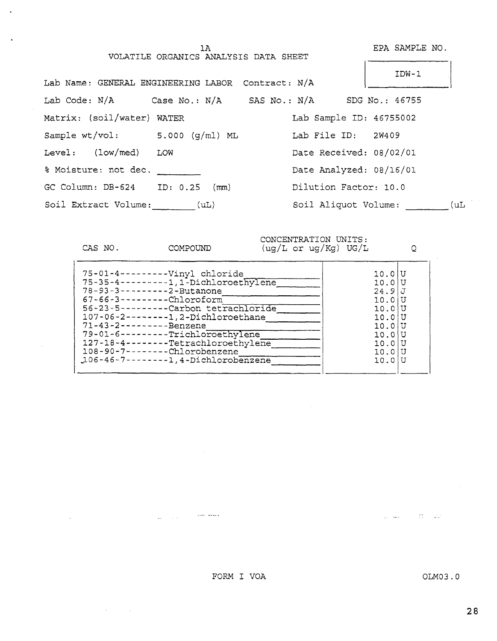VOLATILE ORGANICS ANALYSIS DATA SHEET

CAS NO. COMPOUND

lA EPA SAMPLE NO. 

| Lab Name: GENERAL ENGINEERING LABOR Contract: N/A |      |                         | $IDW-1$        |
|---------------------------------------------------|------|-------------------------|----------------|
| Lab Code: N/A Case No.: N/A SAS No.: N/A          |      |                         | SDG No.: 46755 |
| Matrix: (soil/water) WATER                        |      | Lab Sample ID: 46755002 |                |
| Sample $wt/vol:$ 5.000 $(q/ml)$ ML                |      | Lab File ID: 2W409      |                |
| Level: (low/med)                                  | LOW  | Date Received: 08/02/01 |                |
| % Moisture: not dec.                              |      | Date Analyzed: 08/16/01 |                |
| GC Column: $DB-624$ ID: $0.25$ (mm)               |      | Dilution Factor: 10.0   |                |
| Soil Extract Volume:                              | (UL) | Soil Aliquot Volume:    | (uL)           |

CONCENTRATION UNITS: (ug/L or ug/Kg) UG/L Q

FORM I VOA

 $\omega_{\rm{max}}$  , and  $\omega_{\rm{max}}$  , and  $\omega_{\rm{max}}$ 

 $\Delta \sim 10$ 

 $\sim 10$ 

 $\varphi_{\rm{eff}}$  and  $\varphi_{\rm{eff}}$  ,  $\varphi_{\rm{eff}}$  ,  $\varphi_{\rm{eff}}$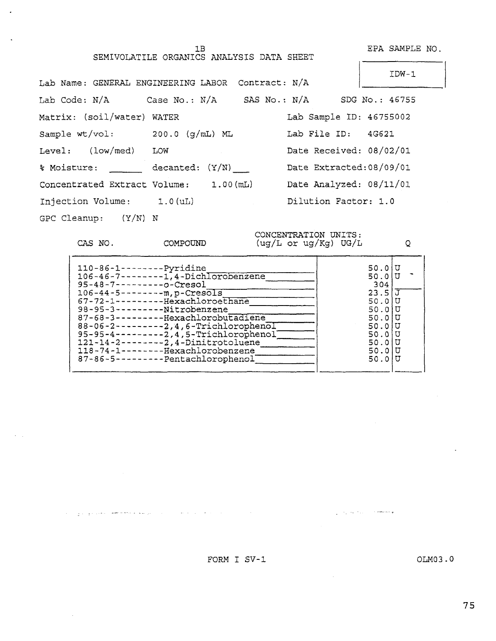1B EPA SAMPLE NO.

|                                    | SEMIVOLATILE ORGANICS ANALYSIS DATA SHEET         |                          |
|------------------------------------|---------------------------------------------------|--------------------------|
|                                    | Lab Name: GENERAL ENGINEERING LABOR Contract: N/A | IDW-1                    |
|                                    |                                                   | SDG No.: 46755           |
| Matrix: (soil/water) WATER         |                                                   | Lab Sample ID: 46755002  |
| Sample $wt/vol:$ 200.0 $(g/mL)$ ML |                                                   | Lab File ID: 4G621       |
| Level: (low/med)                   | LOW                                               | Date Received: 08/02/01  |
| % Moisture:                        | decanted: (Y/N)                                   | Date Extracted: 08/09/01 |
| Concentrated Extract Volume:       | 1.00 (mL)                                         | Date Analyzed: 08/11/01  |
| Injection Volume: 1.0(uL)          |                                                   | Dilution Factor: 1.0     |

GPC Cleanup: (Y/N) N

 $\bar{z}$ 

.

CAS NO. COMPOUND

ال المعادل المستخدم المستخدم المستخدم المستخدم المستخدم المستخدم المستخدم المستخدم المستخدم المستخدم المستخدم ا

CONCENTRATION UNITS: (ug/L or ug/Kg) UG/L Q

| $110 - 86 - 1 - - - - - - $ - Pyridine<br>106-46-7--------1,4-Dichlorobenzene<br>$95 - 48 - 7 - - - - - - - 0 - 0$<br>$106 - 44 - 5 - - - - - m$ , p-Cresols<br>67-72-1---------Hexachloroethane<br>98-95-3----------Nitrobenzene<br>87-68-3---------Hexachlorobutadiene<br>88-06-2---------2, 4, 6-TrichlorophenoI<br>$95-95-4------2,4$ , 5-Trichlorophenol<br>121-14-2--------2, 4-Dinitrotoluene<br>118-74-1--------Hexachlorobenzene<br>87-86-5---------Pentachlorophenol | 50.0 U<br>50.0 U<br>304<br>$23.5 \overline{J}$<br>50.0 U<br>50.0 U<br>50.0IU<br>50.0 U<br>50.010<br>50.0IU<br>50.0 U<br>50.0 U |  |
|--------------------------------------------------------------------------------------------------------------------------------------------------------------------------------------------------------------------------------------------------------------------------------------------------------------------------------------------------------------------------------------------------------------------------------------------------------------------------------|--------------------------------------------------------------------------------------------------------------------------------|--|
|--------------------------------------------------------------------------------------------------------------------------------------------------------------------------------------------------------------------------------------------------------------------------------------------------------------------------------------------------------------------------------------------------------------------------------------------------------------------------------|--------------------------------------------------------------------------------------------------------------------------------|--|

 $\mathcal{L}_{\text{max}}$  , and  $\mathcal{L}_{\text{max}}$  , and  $\mathcal{L}_{\text{max}}$ 

FORM I SV-1 OLM03.0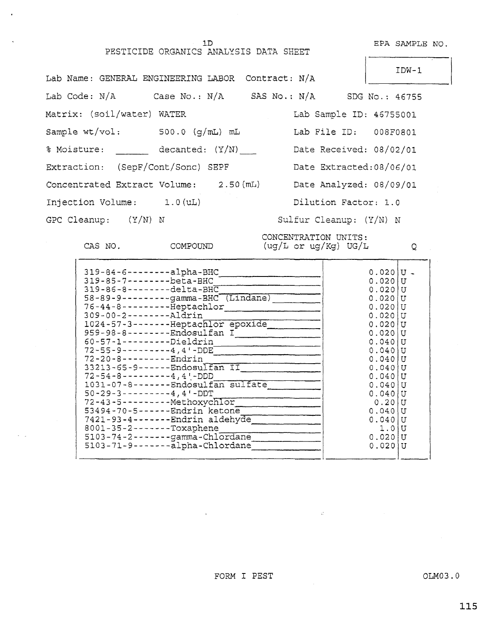## PESTICIDE ORGANICS ANALYSIS DATA SHEET

 $\ddot{\phantom{a}}$ 

 $\bar{\beta}$ 

lD EPA SAMPLE NO.

|                                           | Lab Name: GENERAL ENGINEERING LABOR Contract: N/A             |                          | $IDW-1$ |
|-------------------------------------------|---------------------------------------------------------------|--------------------------|---------|
|                                           | Lab Code: $N/A$ Case No.: $N/A$ SAS No.: $N/A$ SDG No.: 46755 |                          |         |
| Matrix: (soil/water) WATER                |                                                               | Lab Sample ID: 46755001  |         |
| Sample $wt/vol:$ 500.0 $(g/\text{mL})$ mL |                                                               | Lab File ID: 008F0801    |         |
| % Moisture: decanted: (Y/N)               |                                                               | Date Received: 08/02/01  |         |
|                                           | Extraction: (SepF/Cont/Sonc) SEPF                             | Date Extracted: 08/06/01 |         |
|                                           | Concentrated Extract Volume: 2.50 (mL)                        | Date Analyzed: 08/09/01  |         |
| Injection Volume: 1.0 (uL)                |                                                               | Dilution Factor: 1.0     |         |
| GPC Cleanup: $(Y/N)$ N                    |                                                               | Sulfur Cleanup: (Y/N) N  |         |

CONCENTRATION UNITS: CAS NO.  $COMPOUND$  (ug/L or ug/Kg) UG/L  $Q$ 

 $\sim 45^{\circ}$ 

| $319 - 84 - 6 - - - - - - 21$ pha-BHC<br>319-85-7--------beta-BHC<br>$319 - 86 - 8 - - - - - -$ delta-BHC<br>$58 - 89 - 9 - - - - - - -$ gamma-BHC (Lindane)<br>76-44-8---------Heptachlor<br>309-00-2--------Aldrin<br>1024-57-3-------Heptachlor epoxide<br>959-98-8--------Endosulfan I<br>60-57-1---------Dieldrin<br>$72 - 55 - 9 - - - - - - - - 4, 4 - DDE$<br>72-20-8---------Endrin<br>33213-65-9------Endosulfan II<br>$72 - 54 - 8 - - - - - - - 4, 4' - DDD$<br>1031-07-8-------Endosulfan sulfate<br>$50 - 29 - 3 - - - - - - - 4, 4 - DDT$<br>72-43-5----------Methoxychlor<br>53494-70-5------Endrin ketone<br>7421-93-4-------Endrin aldehyde<br>$8001 - 35 - 2 - - - - - -$ Toxaphene<br>$5103 - 74 - 2 - - - - -$ gamma-Chlordane<br>5103-71-9-------- alpha-Chlordane | $0.020$  U $-$<br>$0.020$  U<br>0.020<br>$0.020$  U<br>0.0201<br>0.0201<br>0.0201<br>0.0201<br>$0.040$  U<br>0.0401<br>0.040<br>0.040<br>0.040<br>0.040<br>0.040<br>0.20<br>0.040<br>0.040<br>1.0<br>0.020<br>0.020 | H<br>U<br>U<br>U<br>IJ<br>U<br>U<br>U<br>U<br>U<br>U<br>U<br>U<br>U<br>U<br>U |
|------------------------------------------------------------------------------------------------------------------------------------------------------------------------------------------------------------------------------------------------------------------------------------------------------------------------------------------------------------------------------------------------------------------------------------------------------------------------------------------------------------------------------------------------------------------------------------------------------------------------------------------------------------------------------------------------------------------------------------------------------------------------------------------|---------------------------------------------------------------------------------------------------------------------------------------------------------------------------------------------------------------------|-------------------------------------------------------------------------------|
|                                                                                                                                                                                                                                                                                                                                                                                                                                                                                                                                                                                                                                                                                                                                                                                          |                                                                                                                                                                                                                     |                                                                               |
|                                                                                                                                                                                                                                                                                                                                                                                                                                                                                                                                                                                                                                                                                                                                                                                          |                                                                                                                                                                                                                     |                                                                               |

FORM I PEST OLM03.0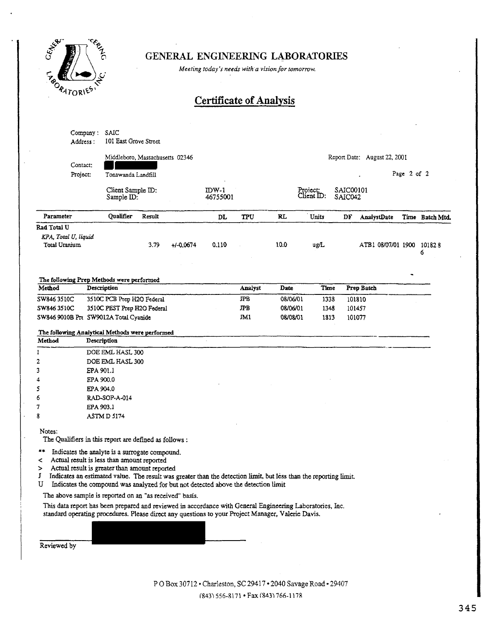

## GENERAL ENGINEERING LABORATORIES

*Meeting today':; needs with·a vision/or tomorrow.* 

# Certificate of Analysis

|                                                 | Company:<br>Address : | SAIC<br>101 East Grove Street                                                                                                                                                                                                       |        |               |                   |         |                                                                                                                                                                                                                 |                        |                      |                              |             |                 |
|-------------------------------------------------|-----------------------|-------------------------------------------------------------------------------------------------------------------------------------------------------------------------------------------------------------------------------------|--------|---------------|-------------------|---------|-----------------------------------------------------------------------------------------------------------------------------------------------------------------------------------------------------------------|------------------------|----------------------|------------------------------|-------------|-----------------|
|                                                 | Contact:              | Middleboro, Massachusetts 02346                                                                                                                                                                                                     |        |               |                   |         |                                                                                                                                                                                                                 |                        |                      | Report Date: August 22, 2001 |             |                 |
|                                                 | Project:              | Tonawanda Landfill                                                                                                                                                                                                                  |        |               |                   |         |                                                                                                                                                                                                                 |                        |                      |                              | Page 2 of 2 |                 |
|                                                 |                       | Client Sample ID:<br>Sample ID:                                                                                                                                                                                                     |        |               | IDW-1<br>46755001 |         |                                                                                                                                                                                                                 | Project:<br>Client ID: | SAIC00101<br>SAIC042 |                              |             |                 |
| Parameter                                       |                       | Oualifier                                                                                                                                                                                                                           | Result |               | DL                | TPU     | RL                                                                                                                                                                                                              | Units                  | DF                   | AnalystDate                  |             | Time Batch Mtd. |
| Rad Total U                                     |                       |                                                                                                                                                                                                                                     |        |               |                   |         |                                                                                                                                                                                                                 |                        |                      |                              |             |                 |
| KPA, Total U, liquid<br>Total Uranium           |                       |                                                                                                                                                                                                                                     | 3.79   | $+1 - 0.0674$ | 0.110             |         | 10.0                                                                                                                                                                                                            | ug/L                   |                      | ATB1 08/07/01 1900 101828    |             | 6               |
| The following Prep Methods were performed       |                       |                                                                                                                                                                                                                                     |        |               |                   |         |                                                                                                                                                                                                                 |                        |                      |                              |             |                 |
| Method                                          |                       | Description                                                                                                                                                                                                                         |        |               |                   | Analyst | Date                                                                                                                                                                                                            | Time                   |                      | Prep Batch                   |             |                 |
| SW846 3510C                                     |                       | 3510C PCB Prep H2O Federal                                                                                                                                                                                                          |        |               |                   | JPB     | 08/06/01                                                                                                                                                                                                        | 1338                   |                      | 101810                       |             |                 |
| SW846 3510C                                     |                       | 3510C PEST Prep H2O Federal                                                                                                                                                                                                         |        |               |                   | JPB     | 08/06/01                                                                                                                                                                                                        | 1348                   |                      | 101457                       |             |                 |
| SW846 9010B Pre SW9012A Total Cyanide           |                       |                                                                                                                                                                                                                                     |        |               |                   | JM1     | 08/08/01                                                                                                                                                                                                        | 1813                   |                      | 101077                       |             |                 |
| The following Analytical Methods were performed |                       |                                                                                                                                                                                                                                     |        |               |                   |         |                                                                                                                                                                                                                 |                        |                      |                              |             |                 |
| Method                                          |                       | Description                                                                                                                                                                                                                         |        |               |                   |         |                                                                                                                                                                                                                 |                        |                      |                              |             |                 |
| 1                                               |                       | DOE EML HASL 300                                                                                                                                                                                                                    |        |               |                   |         |                                                                                                                                                                                                                 |                        |                      |                              |             |                 |
| 2                                               |                       | DOE EML HASL 300                                                                                                                                                                                                                    |        |               |                   |         |                                                                                                                                                                                                                 |                        |                      |                              |             |                 |
| 3                                               | EPA 901.1             |                                                                                                                                                                                                                                     |        |               |                   |         |                                                                                                                                                                                                                 |                        |                      |                              |             |                 |
| 4                                               | EPA 900.0             |                                                                                                                                                                                                                                     |        |               |                   |         |                                                                                                                                                                                                                 |                        |                      |                              |             |                 |
| 5                                               | EPA 904.0             |                                                                                                                                                                                                                                     |        |               |                   |         |                                                                                                                                                                                                                 |                        |                      |                              |             |                 |
| 6                                               |                       | RAD-SOP-A-014                                                                                                                                                                                                                       |        |               |                   |         |                                                                                                                                                                                                                 |                        |                      |                              |             |                 |
| 7                                               | EPA 903.1             |                                                                                                                                                                                                                                     |        |               |                   |         |                                                                                                                                                                                                                 |                        |                      |                              |             |                 |
| 8                                               |                       | ASTM D 5174                                                                                                                                                                                                                         |        |               |                   |         |                                                                                                                                                                                                                 |                        |                      |                              |             |                 |
| Notes:                                          |                       | The Qualifiers in this report are defined as follows :                                                                                                                                                                              |        |               |                   |         |                                                                                                                                                                                                                 |                        |                      |                              |             |                 |
| **<br>≺<br>><br>J<br>U                          |                       | Indicates the analyte is a surrogate compound.<br>Actual result is less than amount reported<br>Actual result is greater than amount reported<br>Indicates the compound was analyzed for but not detected above the detection limit |        |               |                   |         | Indicates an estimated value. The result was greater than the detection limit, but less than the reporting limit.                                                                                               |                        |                      |                              |             |                 |
|                                                 |                       | The above sample is reported on an "as received" basis.                                                                                                                                                                             |        |               |                   |         |                                                                                                                                                                                                                 |                        |                      |                              |             |                 |
|                                                 |                       |                                                                                                                                                                                                                                     |        |               |                   |         | This data report has been prepared and reviewed in accordance with General Engineering Laboratories, Inc.<br>standard operating procedures. Please direct any questions to your Project Manager, Valerie Davis. |                        |                      |                              |             |                 |
| Reviewed by                                     |                       |                                                                                                                                                                                                                                     |        |               |                   |         |                                                                                                                                                                                                                 |                        |                      |                              |             |                 |

P 0 Box 30712 • Charleston, SC 29417 • 2040 Savage Road· 29407 (8431556-&171 • Fax £843) 766-117R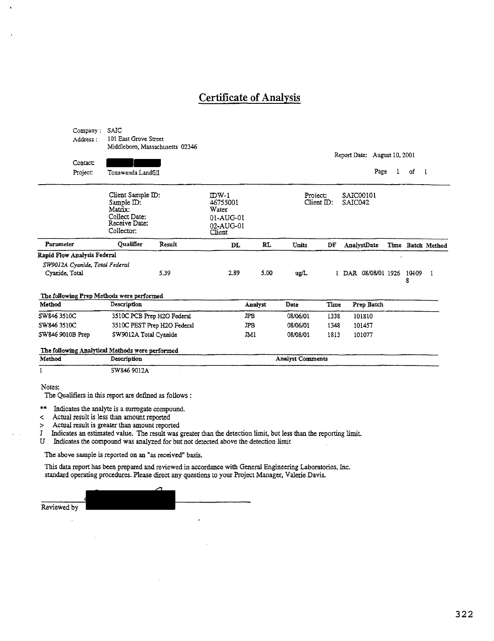### Certificate of Analysis

Company : SAIC Address : 101 East Grove Street Middleboro, Massachusetts 02346 Report Date: August 10,2001 Contact: Project: Tonawanda Landfill Page 1 of Client Sample ID: IDW-1 Proiect: SAIC00101<br>Client ID: SAIC042 Sample ID: 46755001 Client  $ID:$ Matrix: Water Collect Date: 01-AUG-01 Receive Date: 02-AUG-01 Client Collector. Parameter Qualifier Result DL RL Units DF AnalystDate Time Batch Method Rapid Flow Analysis Federal *SW9012A Cyanide, Toral Federal*  2.89 5.00 Cyanide, Total 5.39 ug/L 1 DAR 08/08/01 1926 10109  $\mathbf{I}$ 8 The following Prep Methods were performed Method Description Date Time Prep Batch Analyst SW846 3510C 3510C PCB Prep H20 Federal JPB 08/06/01 1338 101810 SW8463510C 351 OC PEST Prep H20 Federal JPB 08/06/01 1348 101457 SW846 9010B Prep SW9012A Total Cyanide JM1 08/08/01 1813 101077 The following Analytical Methods were performed Analyst Comments Method Description  $\mathbf{I}$ SW846 9012A Notes: The Qualifiers in this report are defined as follows :

\*\* Indicates the analyte is a surrogate compound.

< Actual result is less than amount reported

> Actual result is greater than amount reported

J Indicates an estimated value. The result was greater than the detection limit, but less than the reporting limit.<br>U Indicates the compound was analyzed for but not detected above the detection limit

Indicates the compound was analyzed for but not detected above the detection limit

The above sample is reported on an "as received" basis.

This data report has been prepared and reviewed in accordance with General Engineering Laboratories, Inc. standard operating procedures. Please direct any questions to your Project Manager, Valerie Davis.

Reviewed by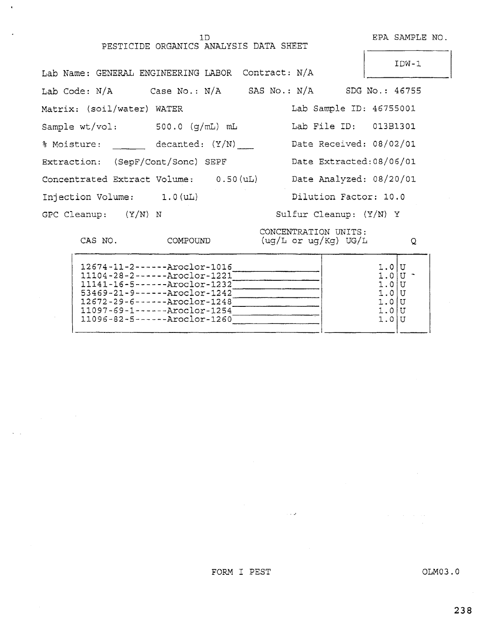lD EPA SAMPLE NO.

PESTICIDE ORGANICS ANALYSIS DATA SHEET

IDW-1 Lab Name: GENERAL ENGINEERING LABOR Contract: N/A Lab Code: N/A Case No.: N/A SAS No.: N/A SDG No.: 46755 Matrix: (soil/water) WATER Lab Sample ID: 46755001 Sample wt/vol: 500.0 (g/mL) mL Lab File ID: 013B1301 % Moisture: decanted: (Y/N) Extraction: (SepF/Cont/Sonc) SEPF Concentrated Extract Volume: 0.50 (uL) Date Received: 08/02/01 Date Extracted:OB/06/01 Date Analyzed: 08/20/01 Injection Volume: 1.0 (uL) Dilution Factor: 10.0 GPC Cleanup: (Y/N) N Sulfur Cleanup: (Y/N) Y CONCENTRATION UNITS:

CAS NO. COMPOUND

(ug/L or ug/Kg) UG/L

 $\overline{Q}$ 

| 1.0IU<br>$11097 - 69 - 1 - - - - Aroclor - 1254$<br>$1.0$ II<br>$11096 - 82 - 5 - - - - - Aroclor - 1260$<br>1.0IU | 12674-11-2------ Aroclor-1016<br>$11104 - 28 - 2 - - - - -$ Aroclor-1221<br>$11141 - 16 - 5 - - - - -$ Aroclor-1232<br>$53469 - 21 - 9 - - - - -$ Aroclor-1242<br>$12672 - 29 - 6 - - - - - Aroclor - 1248$ | 1.0IU<br>$1.0$ IU |  |
|--------------------------------------------------------------------------------------------------------------------|-------------------------------------------------------------------------------------------------------------------------------------------------------------------------------------------------------------|-------------------|--|
|--------------------------------------------------------------------------------------------------------------------|-------------------------------------------------------------------------------------------------------------------------------------------------------------------------------------------------------------|-------------------|--|